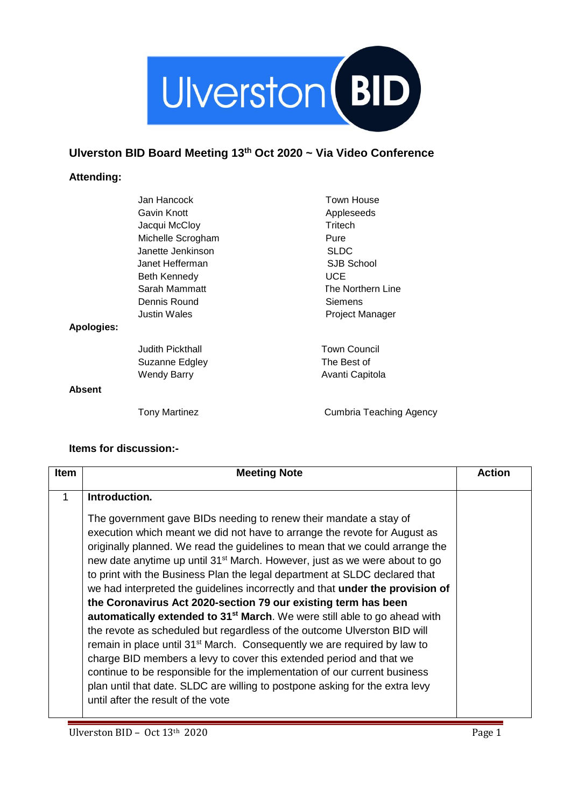

## **Ulverston BID Board Meeting 13th Oct 2020 ~ Via Video Conference**

## **Attending:**

| Jan Hancock             | Town House               |
|-------------------------|--------------------------|
| Gavin Knott             | Appleseeds               |
| Jacqui McCloy           | Tritech                  |
| Michelle Scrogham       | Pure                     |
| Janette Jenkinson       | <b>SLDC</b>              |
| Janet Hefferman         | SJB School               |
| Beth Kennedy            | <b>UCE</b>               |
| Sarah Mammatt           | <b>The Northern Line</b> |
| Dennis Round            | Siemens                  |
| <b>Justin Wales</b>     | Project Manager          |
| Apologies:              |                          |
| <b>Judith Pickthall</b> | <b>Town Council</b>      |
| Suzanne Edgley          | The Best of              |
| Wendy Barry             | Avanti Capitola          |
| <b>Absent</b>           |                          |
| <b>Tony Martinez</b>    | Cumbria Teaching Agency  |

## **Items for discussion:-**

| <b>Item</b> | <b>Meeting Note</b>                                                                                                                                                                                                                                                                                                                                                                                                                                                                                                                                                                                                                                                                                                                                                                                                                                                                                                                                                                                                                                                                              | Action |
|-------------|--------------------------------------------------------------------------------------------------------------------------------------------------------------------------------------------------------------------------------------------------------------------------------------------------------------------------------------------------------------------------------------------------------------------------------------------------------------------------------------------------------------------------------------------------------------------------------------------------------------------------------------------------------------------------------------------------------------------------------------------------------------------------------------------------------------------------------------------------------------------------------------------------------------------------------------------------------------------------------------------------------------------------------------------------------------------------------------------------|--------|
| 1           | Introduction.                                                                                                                                                                                                                                                                                                                                                                                                                                                                                                                                                                                                                                                                                                                                                                                                                                                                                                                                                                                                                                                                                    |        |
|             | The government gave BIDs needing to renew their mandate a stay of<br>execution which meant we did not have to arrange the revote for August as<br>originally planned. We read the guidelines to mean that we could arrange the<br>new date anytime up until 31 <sup>st</sup> March. However, just as we were about to go<br>to print with the Business Plan the legal department at SLDC declared that<br>we had interpreted the guidelines incorrectly and that under the provision of<br>the Coronavirus Act 2020-section 79 our existing term has been<br>automatically extended to 31 <sup>st</sup> March. We were still able to go ahead with<br>the revote as scheduled but regardless of the outcome Ulverston BID will<br>remain in place until 31 <sup>st</sup> March. Consequently we are required by law to<br>charge BID members a levy to cover this extended period and that we<br>continue to be responsible for the implementation of our current business<br>plan until that date. SLDC are willing to postpone asking for the extra levy<br>until after the result of the vote |        |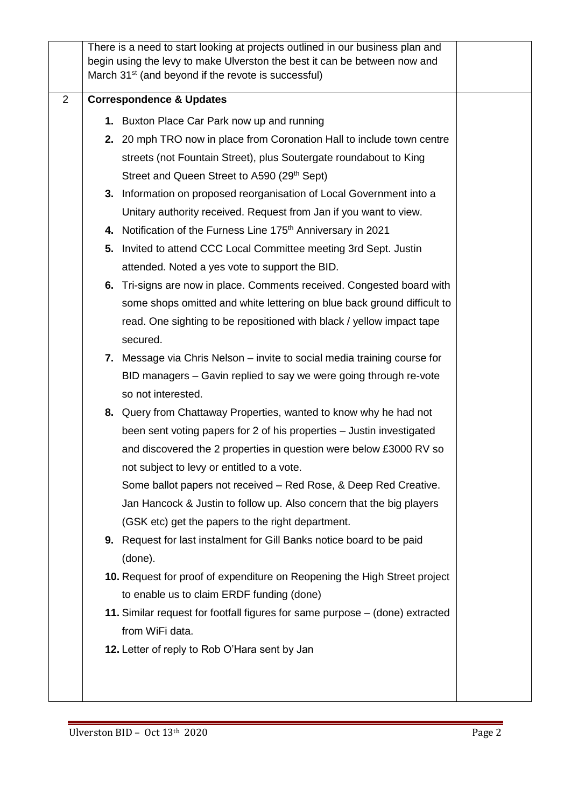|                |                                     | There is a need to start looking at projects outlined in our business plan and<br>begin using the levy to make Ulverston the best it can be between now and<br>March 31 <sup>st</sup> (and beyond if the revote is successful) |  |
|----------------|-------------------------------------|--------------------------------------------------------------------------------------------------------------------------------------------------------------------------------------------------------------------------------|--|
| $\overline{2}$ | <b>Correspondence &amp; Updates</b> |                                                                                                                                                                                                                                |  |
|                |                                     | 1. Buxton Place Car Park now up and running                                                                                                                                                                                    |  |
|                |                                     | 2. 20 mph TRO now in place from Coronation Hall to include town centre                                                                                                                                                         |  |
|                |                                     | streets (not Fountain Street), plus Soutergate roundabout to King                                                                                                                                                              |  |
|                |                                     | Street and Queen Street to A590 (29 <sup>th</sup> Sept)                                                                                                                                                                        |  |
|                |                                     | 3. Information on proposed reorganisation of Local Government into a                                                                                                                                                           |  |
|                |                                     | Unitary authority received. Request from Jan if you want to view.                                                                                                                                                              |  |
|                |                                     | 4. Notification of the Furness Line 175 <sup>th</sup> Anniversary in 2021                                                                                                                                                      |  |
|                |                                     | 5. Invited to attend CCC Local Committee meeting 3rd Sept. Justin                                                                                                                                                              |  |
|                |                                     | attended. Noted a yes vote to support the BID.                                                                                                                                                                                 |  |
|                |                                     | 6. Tri-signs are now in place. Comments received. Congested board with                                                                                                                                                         |  |
|                |                                     | some shops omitted and white lettering on blue back ground difficult to                                                                                                                                                        |  |
|                |                                     | read. One sighting to be repositioned with black / yellow impact tape                                                                                                                                                          |  |
|                |                                     | secured.                                                                                                                                                                                                                       |  |
|                |                                     | 7. Message via Chris Nelson – invite to social media training course for                                                                                                                                                       |  |
|                |                                     | BID managers - Gavin replied to say we were going through re-vote                                                                                                                                                              |  |
|                |                                     | so not interested.                                                                                                                                                                                                             |  |
|                |                                     | 8. Query from Chattaway Properties, wanted to know why he had not                                                                                                                                                              |  |
|                |                                     | been sent voting papers for 2 of his properties – Justin investigated                                                                                                                                                          |  |
|                |                                     | and discovered the 2 properties in question were below £3000 RV so                                                                                                                                                             |  |
|                |                                     | not subject to levy or entitled to a vote.                                                                                                                                                                                     |  |
|                |                                     | Some ballot papers not received – Red Rose, & Deep Red Creative.                                                                                                                                                               |  |
|                |                                     | Jan Hancock & Justin to follow up. Also concern that the big players                                                                                                                                                           |  |
|                |                                     | (GSK etc) get the papers to the right department.                                                                                                                                                                              |  |
|                |                                     | 9. Request for last instalment for Gill Banks notice board to be paid                                                                                                                                                          |  |
|                |                                     | (done).                                                                                                                                                                                                                        |  |
|                |                                     | 10. Request for proof of expenditure on Reopening the High Street project<br>to enable us to claim ERDF funding (done)                                                                                                         |  |
|                |                                     | 11. Similar request for footfall figures for same purpose – (done) extracted                                                                                                                                                   |  |
|                |                                     | from WiFi data.                                                                                                                                                                                                                |  |
|                |                                     | 12. Letter of reply to Rob O'Hara sent by Jan                                                                                                                                                                                  |  |
|                |                                     |                                                                                                                                                                                                                                |  |
|                |                                     |                                                                                                                                                                                                                                |  |
|                |                                     |                                                                                                                                                                                                                                |  |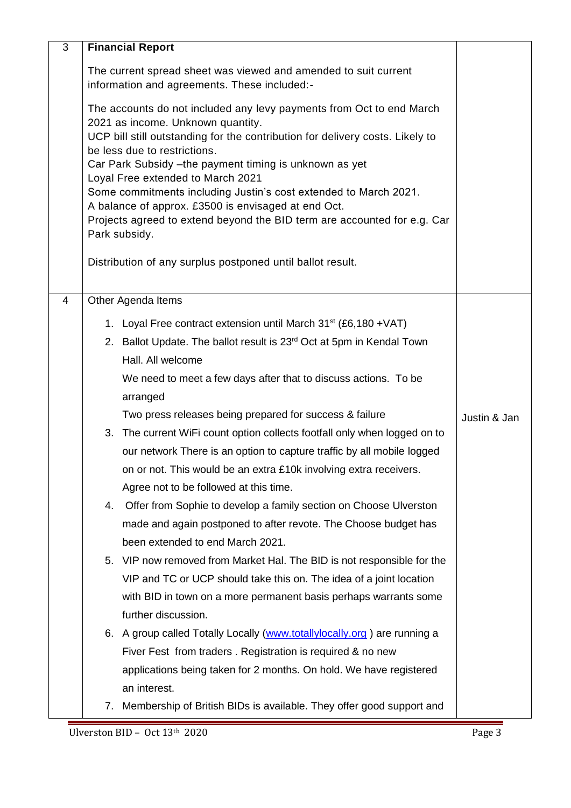| 3 | <b>Financial Report</b>                                                                                                                                                                                                                                                                                                                                                                                                                                                                                                                            |              |
|---|----------------------------------------------------------------------------------------------------------------------------------------------------------------------------------------------------------------------------------------------------------------------------------------------------------------------------------------------------------------------------------------------------------------------------------------------------------------------------------------------------------------------------------------------------|--------------|
|   | The current spread sheet was viewed and amended to suit current<br>information and agreements. These included:-                                                                                                                                                                                                                                                                                                                                                                                                                                    |              |
|   | The accounts do not included any levy payments from Oct to end March<br>2021 as income. Unknown quantity.<br>UCP bill still outstanding for the contribution for delivery costs. Likely to<br>be less due to restrictions.<br>Car Park Subsidy - the payment timing is unknown as yet<br>Loyal Free extended to March 2021<br>Some commitments including Justin's cost extended to March 2021.<br>A balance of approx. £3500 is envisaged at end Oct.<br>Projects agreed to extend beyond the BID term are accounted for e.g. Car<br>Park subsidy. |              |
|   | Distribution of any surplus postponed until ballot result.                                                                                                                                                                                                                                                                                                                                                                                                                                                                                         |              |
| 4 | Other Agenda Items                                                                                                                                                                                                                                                                                                                                                                                                                                                                                                                                 |              |
|   | 1. Loyal Free contract extension until March 31 <sup>st</sup> (£6,180 + VAT)<br>2. Ballot Update. The ballot result is 23 <sup>rd</sup> Oct at 5pm in Kendal Town<br>Hall. All welcome<br>We need to meet a few days after that to discuss actions. To be                                                                                                                                                                                                                                                                                          |              |
|   | arranged<br>Two press releases being prepared for success & failure                                                                                                                                                                                                                                                                                                                                                                                                                                                                                | Justin & Jan |
|   | 3. The current WiFi count option collects footfall only when logged on to<br>our network There is an option to capture traffic by all mobile logged<br>on or not. This would be an extra £10k involving extra receivers.<br>Agree not to be followed at this time.                                                                                                                                                                                                                                                                                 |              |
|   | 4. Offer from Sophie to develop a family section on Choose Ulverston<br>made and again postponed to after revote. The Choose budget has<br>been extended to end March 2021.                                                                                                                                                                                                                                                                                                                                                                        |              |
|   | 5. VIP now removed from Market Hal. The BID is not responsible for the<br>VIP and TC or UCP should take this on. The idea of a joint location<br>with BID in town on a more permanent basis perhaps warrants some                                                                                                                                                                                                                                                                                                                                  |              |
|   | further discussion.<br>6. A group called Totally Locally (www.totallylocally.org) are running a<br>Fiver Fest from traders. Registration is required & no new<br>applications being taken for 2 months. On hold. We have registered<br>an interest.                                                                                                                                                                                                                                                                                                |              |
|   | Membership of British BIDs is available. They offer good support and<br>7.                                                                                                                                                                                                                                                                                                                                                                                                                                                                         |              |